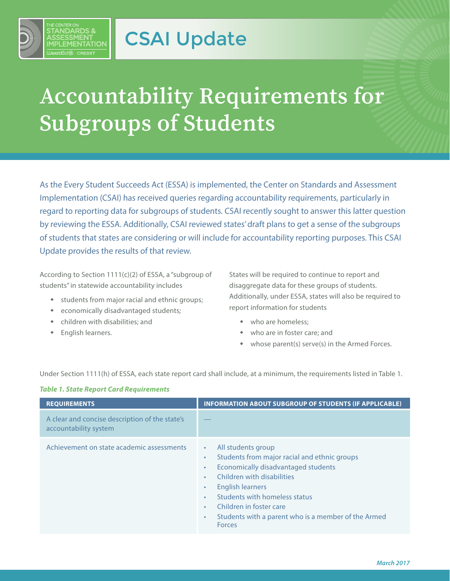

## **Accountability Requirements for Subgroups of Students**

As the Every Student Succeeds Act (ESSA) is implemented, the Center on Standards and Assessment Implementation (CSAI) has received queries regarding accountability requirements, particularly in regard to reporting data for subgroups of students. CSAI recently sought to answer this latter question by reviewing the ESSA. Additionally, CSAI reviewed states' draft plans to get a sense of the subgroups of students that states are considering or will include for accountability reporting purposes. This CSAI Update provides the results of that review.

According to Section 1111(c)(2) of ESSA, a "subgroup of students" in statewide accountability includes

- students from major racial and ethnic groups;
- economically disadvantaged students;
- children with disabilities; and
- English learners.

States will be required to continue to report and disaggregate data for these groups of students. Additionally, under ESSA, states will also be required to report information for students

- who are homeless;
- who are in foster care; and
- whose parent(s) serve(s) in the Armed Forces.

Under Section 1111(h) of ESSA, each state report card shall include, at a minimum, the requirements listed in Table 1.

|  |  |  |  |  | <b>Table 1. State Report Card Requirements</b> |
|--|--|--|--|--|------------------------------------------------|
|--|--|--|--|--|------------------------------------------------|

| <b>REQUIREMENTS</b>                                                     | <b>INFORMATION ABOUT SUBGROUP OF STUDENTS (IF APPLICABLE)</b>                                                                                                                                                                                                                                                                                                                              |
|-------------------------------------------------------------------------|--------------------------------------------------------------------------------------------------------------------------------------------------------------------------------------------------------------------------------------------------------------------------------------------------------------------------------------------------------------------------------------------|
| A clear and concise description of the state's<br>accountability system |                                                                                                                                                                                                                                                                                                                                                                                            |
| Achievement on state academic assessments                               | All students group<br>$\bullet$<br>Students from major racial and ethnic groups<br>$\bullet$<br>Economically disadvantaged students<br>$\bullet$<br>Children with disabilities<br>$\bullet$<br>English learners<br>$\bullet$<br>Students with homeless status<br>Children in foster care<br>$\bullet$<br>Students with a parent who is a member of the Armed<br>$\bullet$<br><b>Forces</b> |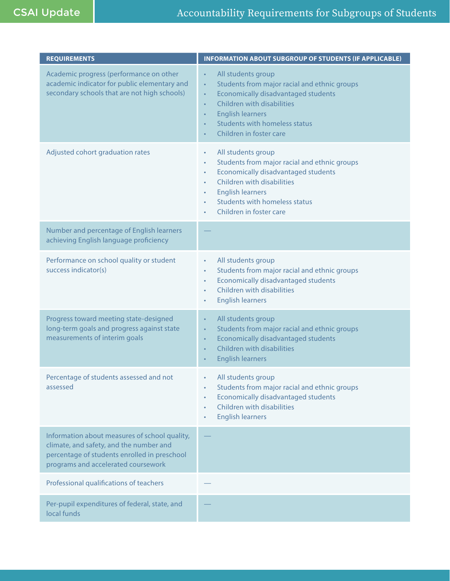| <b>REQUIREMENTS</b>                                                                                                                                                             | <b>INFORMATION ABOUT SUBGROUP OF STUDENTS (IF APPLICABLE)</b>                                                                                                                                                                                                                                                                           |
|---------------------------------------------------------------------------------------------------------------------------------------------------------------------------------|-----------------------------------------------------------------------------------------------------------------------------------------------------------------------------------------------------------------------------------------------------------------------------------------------------------------------------------------|
| Academic progress (performance on other<br>academic indicator for public elementary and<br>secondary schools that are not high schools)                                         | All students group<br>$\bullet$<br>Students from major racial and ethnic groups<br>$\bullet$<br><b>Economically disadvantaged students</b><br>$\bullet$<br>Children with disabilities<br>$\bullet$<br><b>English learners</b><br>$\bullet$<br><b>Students with homeless status</b><br>$\bullet$<br>Children in foster care<br>$\bullet$ |
| Adjusted cohort graduation rates                                                                                                                                                | All students group<br>٠<br>Students from major racial and ethnic groups<br>$\bullet$<br>Economically disadvantaged students<br>$\bullet$<br><b>Children with disabilities</b><br>$\bullet$<br><b>English learners</b><br>$\bullet$<br><b>Students with homeless status</b><br>$\bullet$<br>Children in foster care<br>$\bullet$         |
| Number and percentage of English learners<br>achieving English language proficiency                                                                                             |                                                                                                                                                                                                                                                                                                                                         |
| Performance on school quality or student<br>success indicator(s)                                                                                                                | All students group<br>$\bullet$<br>Students from major racial and ethnic groups<br>$\bullet$<br>Economically disadvantaged students<br>$\bullet$<br><b>Children with disabilities</b><br><b>English learners</b><br>$\bullet$                                                                                                           |
| Progress toward meeting state-designed<br>long-term goals and progress against state<br>measurements of interim goals                                                           | All students group<br>$\bullet$<br>Students from major racial and ethnic groups<br>$\bullet$<br>Economically disadvantaged students<br>$\bullet$<br>Children with disabilities<br>$\bullet$<br><b>English learners</b><br>$\bullet$                                                                                                     |
| Percentage of students assessed and not<br>assessed                                                                                                                             | All students group<br>Students from major racial and ethnic groups<br>Economically disadvantaged students<br>٠<br><b>Children with disabilities</b><br>$\bullet$<br><b>English learners</b><br>$\bullet$                                                                                                                                |
| Information about measures of school quality,<br>climate, and safety, and the number and<br>percentage of students enrolled in preschool<br>programs and accelerated coursework |                                                                                                                                                                                                                                                                                                                                         |
| Professional qualifications of teachers                                                                                                                                         |                                                                                                                                                                                                                                                                                                                                         |
| Per-pupil expenditures of federal, state, and<br>local funds                                                                                                                    |                                                                                                                                                                                                                                                                                                                                         |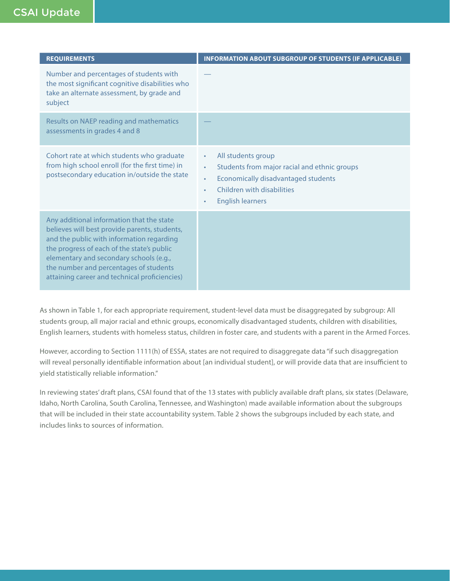| <b>REQUIREMENTS</b>                                                                                                                                                                                                                                                                                                         | <b>INFORMATION ABOUT SUBGROUP OF STUDENTS (IF APPLICABLE)</b>                                                                                                                                                                      |
|-----------------------------------------------------------------------------------------------------------------------------------------------------------------------------------------------------------------------------------------------------------------------------------------------------------------------------|------------------------------------------------------------------------------------------------------------------------------------------------------------------------------------------------------------------------------------|
| Number and percentages of students with<br>the most significant cognitive disabilities who<br>take an alternate assessment, by grade and<br>subject                                                                                                                                                                         |                                                                                                                                                                                                                                    |
| Results on NAEP reading and mathematics<br>assessments in grades 4 and 8                                                                                                                                                                                                                                                    |                                                                                                                                                                                                                                    |
| Cohort rate at which students who graduate<br>from high school enroll (for the first time) in<br>postsecondary education in/outside the state                                                                                                                                                                               | All students group<br>$\bullet$<br>Students from major racial and ethnic groups<br>$\bullet$<br><b>Economically disadvantaged students</b><br>$\bullet$<br>Children with disabilities<br>٠<br><b>English learners</b><br>$\bullet$ |
| Any additional information that the state<br>believes will best provide parents, students,<br>and the public with information regarding<br>the progress of each of the state's public<br>elementary and secondary schools (e.g.,<br>the number and percentages of students<br>attaining career and technical proficiencies) |                                                                                                                                                                                                                                    |

As shown in Table 1, for each appropriate requirement, student-level data must be disaggregated by subgroup: All students group, all major racial and ethnic groups, economically disadvantaged students, children with disabilities, English learners, students with homeless status, children in foster care, and students with a parent in the Armed Forces.

However, according to Section 1111(h) of ESSA, states are not required to disaggregate data "if such disaggregation will reveal personally identifiable information about [an individual student], or will provide data that are insufficient to yield statistically reliable information."

In reviewing states' draft plans, CSAI found that of the 13 states with publicly available draft plans, six states (Delaware, Idaho, North Carolina, South Carolina, Tennessee, and Washington) made available information about the subgroups that will be included in their state accountability system. Table 2 shows the subgroups included by each state, and includes links to sources of information.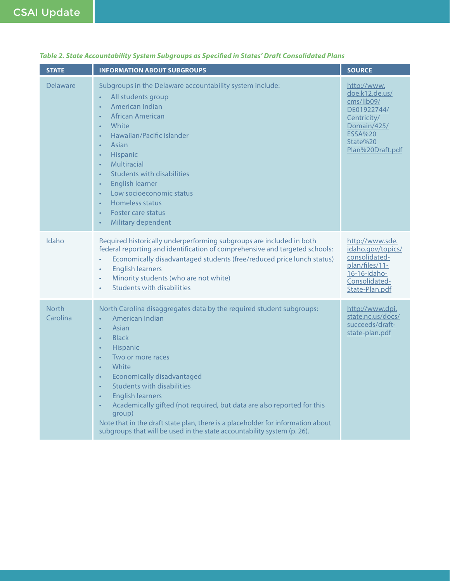| <b>STATE</b>             | <b>INFORMATION ABOUT SUBGROUPS</b>                                                                                                                                                                                                                                                                                                                                                                                                                                                                                                                                                                                                                         | <b>SOURCE</b>                                                                                                                              |
|--------------------------|------------------------------------------------------------------------------------------------------------------------------------------------------------------------------------------------------------------------------------------------------------------------------------------------------------------------------------------------------------------------------------------------------------------------------------------------------------------------------------------------------------------------------------------------------------------------------------------------------------------------------------------------------------|--------------------------------------------------------------------------------------------------------------------------------------------|
| Delaware                 | Subgroups in the Delaware accountability system include:<br>All students group<br>American Indian<br>African American<br>White<br>$\bullet$<br>Hawaiian/Pacific Islander<br>$\bullet$<br>Asian<br>$\bullet$<br>Hispanic<br>$\bullet$<br><b>Multiracial</b><br>$\bullet$<br>Students with disabilities<br>$\bullet$<br><b>English learner</b><br>$\bullet$<br>Low socioeconomic status<br>Homeless status<br><b>Foster care status</b><br>Military dependent<br>$\bullet$                                                                                                                                                                                   | http://www.<br>doe.k12.de.us/<br>cms/lib09/<br>DE01922744/<br>Centricity/<br>Domain/425/<br><b>ESSA%20</b><br>State%20<br>Plan%20Draft.pdf |
| Idaho                    | Required historically underperforming subgroups are included in both<br>federal reporting and identification of comprehensive and targeted schools:<br>Economically disadvantaged students (free/reduced price lunch status)<br><b>English learners</b><br>$\bullet$<br>Minority students (who are not white)<br>$\bullet$<br><b>Students with disabilities</b><br>$\bullet$                                                                                                                                                                                                                                                                               | http://www.sde.<br>idaho.gov/topics/<br>consolidated-<br>plan/files/11-<br>16-16-Idaho-<br>Consolidated-<br>State-Plan.pdf                 |
| <b>North</b><br>Carolina | North Carolina disaggregates data by the required student subgroups:<br>American Indian<br>$\bullet$<br>Asian<br>$\bullet$<br><b>Black</b><br>$\bullet$<br><b>Hispanic</b><br>$\bullet$<br>Two or more races<br>$\bullet$<br>White<br>$\bullet$<br><b>Economically disadvantaged</b><br>$\bullet$<br><b>Students with disabilities</b><br>$\bullet$<br><b>English learners</b><br>$\bullet$<br>Academically gifted (not required, but data are also reported for this<br>$\bullet$<br>group)<br>Note that in the draft state plan, there is a placeholder for information about<br>subgroups that will be used in the state accountability system (p. 26). | http://www.dpi.<br>state.nc.us/docs/<br>succeeds/draft-<br>state-plan.pdf                                                                  |

## *Table 2. State Accountability System Subgroups as Specified in States' Draft Consolidated Plans*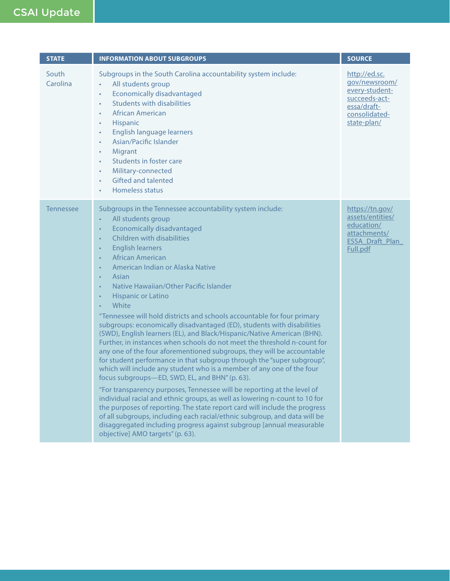## CSAI Update

| <b>STATE</b>      | <b>INFORMATION ABOUT SUBGROUPS</b>                                                                                                                                                                                                                                                                                                                                                                                                                                                                                                                                                                                                                                                                                                                                                                                                                                                                                                                                                                                                                                                                                                                                                                                                                                                                                                                                                                                                                                                    | <b>SOURCE</b>                                                                                                    |
|-------------------|---------------------------------------------------------------------------------------------------------------------------------------------------------------------------------------------------------------------------------------------------------------------------------------------------------------------------------------------------------------------------------------------------------------------------------------------------------------------------------------------------------------------------------------------------------------------------------------------------------------------------------------------------------------------------------------------------------------------------------------------------------------------------------------------------------------------------------------------------------------------------------------------------------------------------------------------------------------------------------------------------------------------------------------------------------------------------------------------------------------------------------------------------------------------------------------------------------------------------------------------------------------------------------------------------------------------------------------------------------------------------------------------------------------------------------------------------------------------------------------|------------------------------------------------------------------------------------------------------------------|
| South<br>Carolina | Subgroups in the South Carolina accountability system include:<br>All students group<br>$\bullet$<br><b>Economically disadvantaged</b><br>$\bullet$<br><b>Students with disabilities</b><br>$\bullet$<br><b>African American</b><br>$\bullet$<br>Hispanic<br>$\bullet$<br>English language learners<br>$\bullet$<br>Asian/Pacific Islander<br>$\bullet$<br>Migrant<br>$\bullet$<br>Students in foster care<br>$\bullet$<br>Military-connected<br>$\bullet$<br><b>Gifted and talented</b><br>$\bullet$<br>Homeless status<br>$\bullet$                                                                                                                                                                                                                                                                                                                                                                                                                                                                                                                                                                                                                                                                                                                                                                                                                                                                                                                                                 | http://ed.sc.<br>gov/newsroom/<br>every-student-<br>succeeds-act-<br>essa/draft-<br>consolidated-<br>state-plan/ |
| <b>Tennessee</b>  | Subgroups in the Tennessee accountability system include:<br>All students group<br>$\bullet$<br><b>Economically disadvantaged</b><br>$\bullet$<br>Children with disabilities<br>$\bullet$<br><b>English learners</b><br>$\bullet$<br><b>African American</b><br>$\bullet$<br>American Indian or Alaska Native<br>$\bullet$<br>Asian<br>$\bullet$<br>Native Hawaiian/Other Pacific Islander<br>$\bullet$<br><b>Hispanic or Latino</b><br>$\bullet$<br>White<br>"Tennessee will hold districts and schools accountable for four primary<br>subgroups: economically disadvantaged (ED), students with disabilities<br>(SWD), English learners (EL), and Black/Hispanic/Native American (BHN).<br>Further, in instances when schools do not meet the threshold n-count for<br>any one of the four aforementioned subgroups, they will be accountable<br>for student performance in that subgroup through the "super subgroup",<br>which will include any student who is a member of any one of the four<br>focus subgroups-ED, SWD, EL, and BHN" (p. 63).<br>"For transparency purposes, Tennessee will be reporting at the level of<br>individual racial and ethnic groups, as well as lowering n-count to 10 for<br>the purposes of reporting. The state report card will include the progress<br>of all subgroups, including each racial/ethnic subgroup, and data will be<br>disaggregated including progress against subgroup [annual measurable<br>objective] AMO targets" (p. 63). | https://tn.gov/<br>assets/entities/<br>education/<br>attachments/<br><b>ESSA Draft Plan</b><br>Full.pdf          |